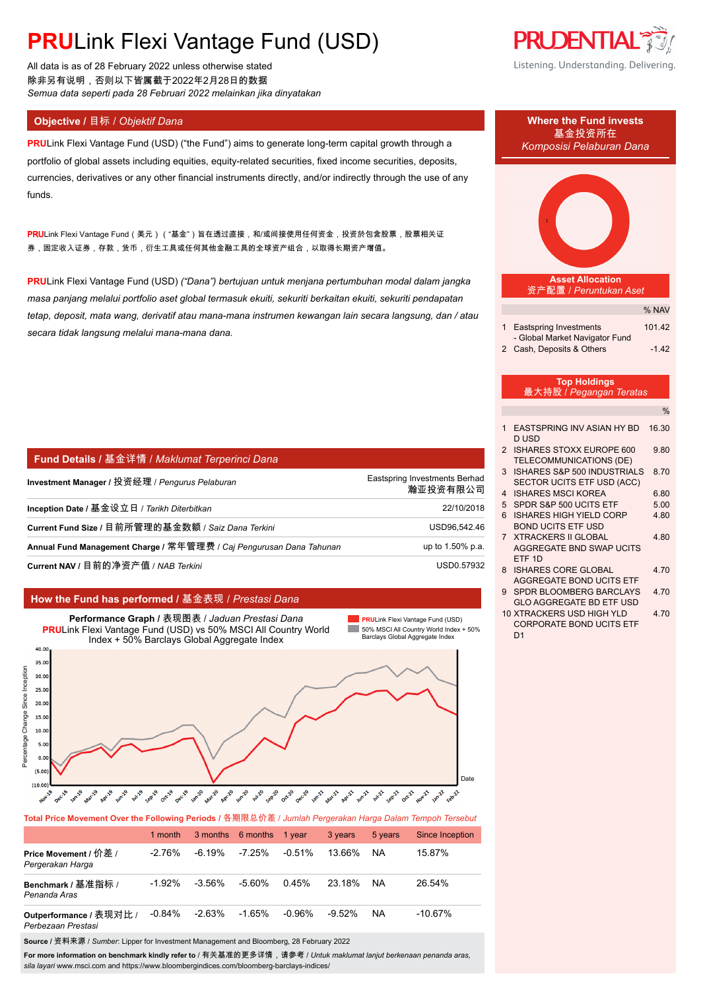All data is as of 28 February 2022 unless otherwise stated 除非另有说明,否则以下皆属截于2022年2月28日的数据 *Semua data seperti pada 28 Februari 2022 melainkan jika dinyatakan*

**PRU**Link Flexi Vantage Fund (USD) ("the Fund") aims to generate long-term capital growth through a portfolio of global assets including equities, equity-related securities, fixed income securities, deposits, currencies, derivatives or any other financial instruments directly, and/or indirectly through the use of any funds.

<mark>PRU</mark>Link Flexi Vantage Fund(美元)("基金")旨在透过直接,和/或间接使用任何资金,投资於包含股票,股票相关证 券,固定收入证券,存款,货币,衍生工具或任何其他金融工具的全球资产组合,以取得长期资产增值。

**PRU**Link Flexi Vantage Fund (USD) *("Dana") bertujuan untuk menjana pertumbuhan modal dalam jangka masa panjang melalui portfolio aset global termasuk ekuiti, sekuriti berkaitan ekuiti, sekuriti pendapatan tetap, deposit, mata wang, derivatif atau mana-mana instrumen kewangan lain secara langsung, dan / atau secara tidak langsung melalui mana-mana dana.*

| <b>Fund Details / 基金详情 / Maklumat Terperinci Dana</b>               |                                           |
|---------------------------------------------------------------------|-------------------------------------------|
| Investment Manager / 投资经理 / Pengurus Pelaburan                      | Eastspring Investments Berhad<br>瀚亚投资有限公司 |
| Inception Date / 基金设立日 / Tarikh Diterbitkan                         | 22/10/2018                                |
| Current Fund Size / 目前所管理的基金数额 / Saiz Dana Terkini                  | USD96,542.46                              |
| Annual Fund Management Charge / 常年管理费 / Caj Pengurusan Dana Tahunan | up to 1.50% p.a.                          |
| Current NAV / 目前的净资产值 / NAB Terkini                                 | USD0.57932                                |

### **How the Fund has performed /** 基金表现 / *Prestasi Dana*



**Total Price Movement Over the Following Periods /** 各期限总价差 / *Jumlah Pergerakan Harga Dalam Tempoh Tersebut*

|                                               | 1 month   |           | 3 months 6 months 1 year |           | 3 years   | 5 years   | Since Inception |
|-----------------------------------------------|-----------|-----------|--------------------------|-----------|-----------|-----------|-----------------|
| Price Movement / 价差 /<br>Pergerakan Harga     | $-2.76\%$ | $-6.19\%$ | $-7.25\%$                | $-0.51\%$ | 13.66%    | <b>NA</b> | 15.87%          |
| Benchmark / 基准指标 /<br>Penanda Aras            | $-1.92%$  | $-3.56\%$ | $-5.60%$                 | 0.45%     | 23.18%    | NA.       | 26.54%          |
| Outperformance / 表现对比 /<br>Perbezaan Prestasi | $-0.84\%$ | $-2.63\%$ | $-1.65\%$                | -0.96%    | $-9.52\%$ | <b>NA</b> | $-10.67%$       |

**Source /** 资料来源 / *Sumber*: Lipper for Investment Management and Bloomberg, 28 February 2022

**For more information on benchmark kindly refer to** / 有关基准的更多详情,请参考 / *Untuk maklumat lanjut berkenaan penanda aras, sila layari* www.msci.com and https://www.bloombergindices.com/bloomberg-barclays-indices/





- 9 SPDR BLOOMBERG BARCLAYS 4.70 GLO AGGREGATE BD ETF USD
- 10 XTRACKERS USD HIGH YLD 4.70 CORPORATE BOND UCITS ETF D<sub>1</sub>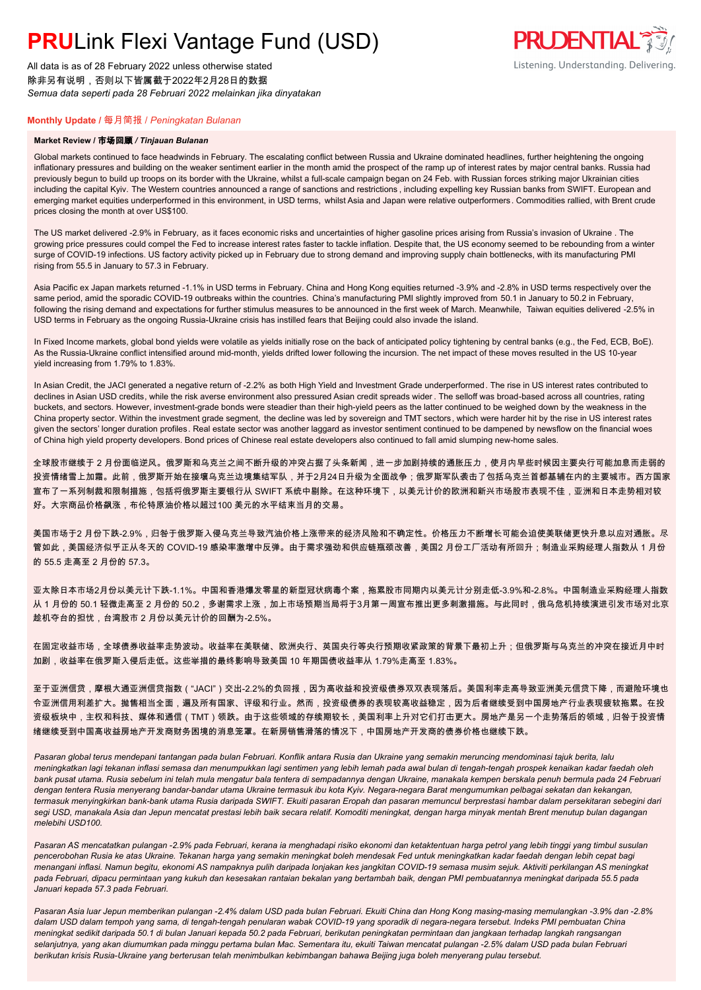All data is as of 28 February 2022 unless otherwise stated 除非另有说明,否则以下皆属截于2022年2月28日的数据 *Semua data seperti pada 28 Februari 2022 melainkan jika dinyatakan*

### **Monthly Update /** 每月简报 / *Peningkatan Bulanan*

#### **Market Review /** 市场回顾 */ Tinjauan Bulanan*

Global markets continued to face headwinds in February. The escalating conflict between Russia and Ukraine dominated headlines, further heightening the ongoing inflationary pressures and building on the weaker sentiment earlier in the month amid the prospect of the ramp up of interest rates by major central banks. Russia had previously begun to build up troops on its border with the Ukraine, whilst a full-scale campaign began on 24 Feb. with Russian forces striking major Ukrainian cities including the capital Kyiv. The Western countries announced a range of sanctions and restrictions , including expelling key Russian banks from SWIFT. European and emerging market equities underperformed in this environment, in USD terms, whilst Asia and Japan were relative outperformers. Commodities rallied, with Brent crude prices closing the month at over US\$100.

The US market delivered -2.9% in February, as it faces economic risks and uncertainties of higher gasoline prices arising from Russia's invasion of Ukraine . The growing price pressures could compel the Fed to increase interest rates faster to tackle inflation. Despite that, the US economy seemed to be rebounding from a winter surge of COVID-19 infections. US factory activity picked up in February due to strong demand and improving supply chain bottlenecks, with its manufacturing PMI rising from 55.5 in January to 57.3 in February.

Asia Pacific ex Japan markets returned -1.1% in USD terms in February. China and Hong Kong equities returned -3.9% and -2.8% in USD terms respectively over the same period, amid the sporadic COVID-19 outbreaks within the countries. China's manufacturing PMI slightly improved from 50.1 in January to 50.2 in February, following the rising demand and expectations for further stimulus measures to be announced in the first week of March. Meanwhile, Taiwan equities delivered -2.5% in USD terms in February as the ongoing Russia-Ukraine crisis has instilled fears that Beijing could also invade the island.

In Fixed Income markets, global bond yields were volatile as yields initially rose on the back of anticipated policy tightening by central banks (e.g., the Fed, ECB, BoE). As the Russia-Ukraine conflict intensified around mid-month, yields drifted lower following the incursion. The net impact of these moves resulted in the US 10-year yield increasing from 1.79% to 1.83%.

In Asian Credit, the JACI generated a negative return of -2.2% as both High Yield and Investment Grade underperformed. The rise in US interest rates contributed to declines in Asian USD credits, while the risk averse environment also pressured Asian credit spreads wider. The selloff was broad-based across all countries, rating buckets, and sectors. However, investment-grade bonds were steadier than their high-yield peers as the latter continued to be weighed down by the weakness in the China property sector. Within the investment grade segment, the decline was led by sovereign and TMT sectors, which were harder hit by the rise in US interest rates given the sectors' longer duration profiles. Real estate sector was another laggard as investor sentiment continued to be dampened by newsflow on the financial woes of China high yield property developers. Bond prices of Chinese real estate developers also continued to fall amid slumping new-home sales.

全球股市继续于 2 月份面临逆风。俄罗斯和乌克兰之间不断升级的冲突占据了头条新闻,进一步加剧持续的通胀压力,使月内早些时候因主要央行可能加息而走弱的 投资情绪雪上加霜。此前,俄罗斯开始在接壤乌克兰边境集结军队,并于2月24日升级为全面战争;俄罗斯军队袭击了包括乌克兰首都基辅在内的主要城市。西方国家 宣布了一系列制裁和限制措施,包括将俄罗斯主要银行从 SWIFT 系统中剔除。在这种环境下,以美元计价的欧洲和新兴市场股市表现不佳,亚洲和日本走势相对较 好。大宗商品价格飙涨,布伦特原油价格以超过100 美元的水平结束当月的交易。

美国市场于2 月份下跌-2.9%,归咎于俄罗斯入侵乌克兰导致汽油价格上涨带来的经济风险和不确定性。价格压力不断增长可能会迫使美联储更快升息以应对通胀。尽 管如此,美国经济似乎正从冬天的 COVID-19 感染率激增中反弹。由于需求强劲和供应链瓶颈改善,美国2 月份工厂活动有所回升;制造业采购经理人指数从 1 月份 的 55.5 走高至 2 月份的 57.3。

亚太除日本市场2月份以美元计下跌-1.1%。中国和香港爆发零星的新型冠状病毒个案,拖累股市同期内以美元计分别走低-3.9%和-2.8%。中国制造业采购经理人指数 从 1 月份的 50.1 轻微走高至 2 月份的 50.2,多谢需求上涨,加上市场预期当局将于3月第一周宣布推出更多刺激措施。与此同时,俄乌危机持续演进引发市场对北京 趁机夺台的担忧,台湾股市 2 月份以美元计价的回酬为-2.5%。

在固定收益市场,全球债券收益率走势波动。收益率在美联储、欧洲央行、英国央行等央行预期收紧政策的背景下最初上升;但俄罗斯与乌克兰的冲突在接近月中时 加剧,收益率在俄罗斯入侵后走低。这些举措的最终影响导致美国 10 年期国债收益率从 1.79%走高至 1.83%。

至于亚洲信贷,摩根大通亚洲信贷指数("JACI")交出-2.2%的负回报,因为高收益和投资级债券双双表现落后。美国利率走高导致亚洲美元信贷下降,而避险环境也 令亚洲信用利差扩大。抛售相当全面,遍及所有国家、评级和行业。然而,投资级债券的表现较高收益稳定,因为后者继续受到中国房地产行业表现疲软拖累。在投 资级板块中,主权和科技、媒体和通信(TMT)领跌。由于这些领域的存续期较长,美国利率上升对它们打击更大。房地产是另一个走势落后的领域,归咎于投资情 绪继续受到中国高收益房地产开发商财务困境的消息笼罩。在新房销售滑落的情况下,中国房地产开发商的债券价格也继续下跌。

*Pasaran global terus mendepani tantangan pada bulan Februari. Konflik antara Rusia dan Ukraine yang semakin meruncing mendominasi tajuk berita, lalu meningkatkan lagi tekanan inflasi semasa dan menumpukkan lagi sentimen yang lebih lemah pada awal bulan di tengah-tengah prospek kenaikan kadar faedah oleh bank pusat utama. Rusia sebelum ini telah mula mengatur bala tentera di sempadannya dengan Ukraine, manakala kempen berskala penuh bermula pada 24 Februari dengan tentera Rusia menyerang bandar-bandar utama Ukraine termasuk ibu kota Kyiv. Negara-negara Barat mengumumkan pelbagai sekatan dan kekangan, termasuk menyingkirkan bank-bank utama Rusia daripada SWIFT. Ekuiti pasaran Eropah dan pasaran memuncul berprestasi hambar dalam persekitaran sebegini dari*  segi USD, manakala Asia dan Jepun mencatat prestasi lebih baik secara relatif. Komoditi meningkat, dengan harga minyak mentah Brent menutup bulan dagangan *melebihi USD100.*

*Pasaran AS mencatatkan pulangan -2.9% pada Februari, kerana ia menghadapi risiko ekonomi dan ketaktentuan harga petrol yang lebih tinggi yang timbul susulan pencerobohan Rusia ke atas Ukraine. Tekanan harga yang semakin meningkat boleh mendesak Fed untuk meningkatkan kadar faedah dengan lebih cepat bagi menangani inflasi. Namun begitu, ekonomi AS nampaknya pulih daripada lonjakan kes jangkitan COVID-19 semasa musim sejuk. Aktiviti perkilangan AS meningkat pada Februari, dipacu permintaan yang kukuh dan kesesakan rantaian bekalan yang bertambah baik, dengan PMI pembuatannya meningkat daripada 55.5 pada Januari kepada 57.3 pada Februari.*

*Pasaran Asia luar Jepun memberikan pulangan -2.4% dalam USD pada bulan Februari. Ekuiti China dan Hong Kong masing-masing memulangkan -3.9% dan -2.8% dalam USD dalam tempoh yang sama, di tengah-tengah penularan wabak COVID-19 yang sporadik di negara-negara tersebut. Indeks PMI pembuatan China meningkat sedikit daripada 50.1 di bulan Januari kepada 50.2 pada Februari, berikutan peningkatan permintaan dan jangkaan terhadap langkah rangsangan selanjutnya, yang akan diumumkan pada minggu pertama bulan Mac. Sementara itu, ekuiti Taiwan mencatat pulangan -2.5% dalam USD pada bulan Februari berikutan krisis Rusia-Ukraine yang berterusan telah menimbulkan kebimbangan bahawa Beijing juga boleh menyerang pulau tersebut.*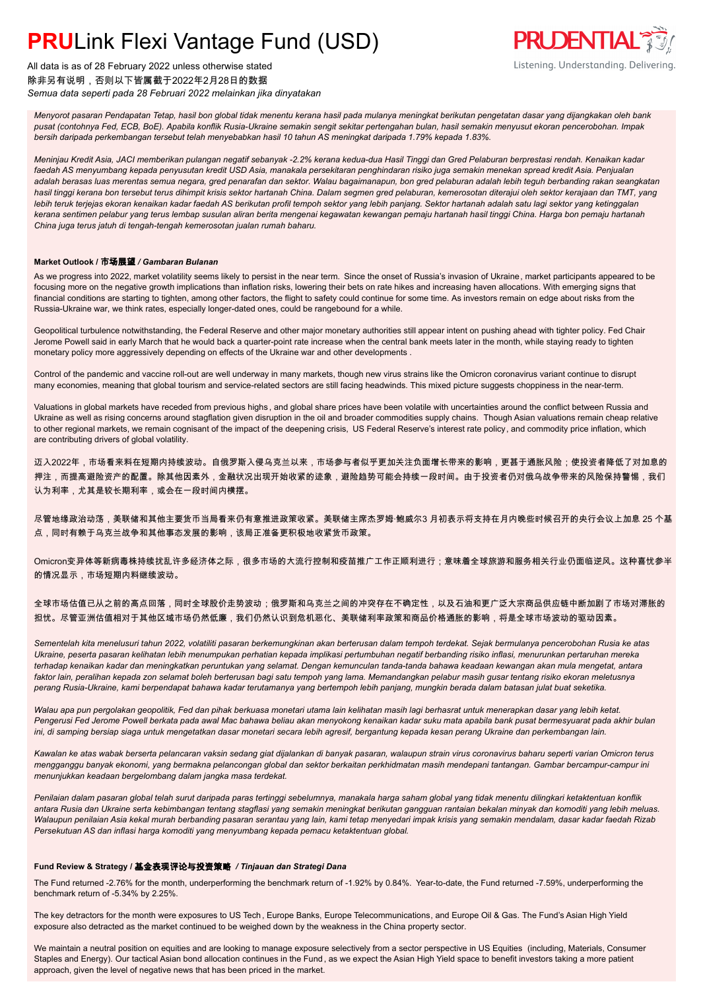

All data is as of 28 February 2022 unless otherwise stated 除非另有说明,否则以下皆属截于2022年2月28日的数据 *Semua data seperti pada 28 Februari 2022 melainkan jika dinyatakan*

*Menyorot pasaran Pendapatan Tetap, hasil bon global tidak menentu kerana hasil pada mulanya meningkat berikutan pengetatan dasar yang dijangkakan oleh bank pusat (contohnya Fed, ECB, BoE). Apabila konflik Rusia-Ukraine semakin sengit sekitar pertengahan bulan, hasil semakin menyusut ekoran pencerobohan. Impak bersih daripada perkembangan tersebut telah menyebabkan hasil 10 tahun AS meningkat daripada 1.79% kepada 1.83%.*

*Meninjau Kredit Asia, JACI memberikan pulangan negatif sebanyak -2.2% kerana kedua-dua Hasil Tinggi dan Gred Pelaburan berprestasi rendah. Kenaikan kadar faedah AS menyumbang kepada penyusutan kredit USD Asia, manakala persekitaran penghindaran risiko juga semakin menekan spread kredit Asia. Penjualan adalah berasas luas merentas semua negara, gred penarafan dan sektor. Walau bagaimanapun, bon gred pelaburan adalah lebih teguh berbanding rakan seangkatan hasil tinggi kerana bon tersebut terus dihimpit krisis sektor hartanah China. Dalam segmen gred pelaburan, kemerosotan diterajui oleh sektor kerajaan dan TMT, yang lebih teruk terjejas ekoran kenaikan kadar faedah AS berikutan profil tempoh sektor yang lebih panjang. Sektor hartanah adalah satu lagi sektor yang ketinggalan kerana sentimen pelabur yang terus lembap susulan aliran berita mengenai kegawatan kewangan pemaju hartanah hasil tinggi China. Harga bon pemaju hartanah China juga terus jatuh di tengah-tengah kemerosotan jualan rumah baharu.*

### **Market Outlook /** 市场展望 */ Gambaran Bulanan*

As we progress into 2022, market volatility seems likely to persist in the near term. Since the onset of Russia's invasion of Ukraine, market participants appeared to be focusing more on the negative growth implications than inflation risks, lowering their bets on rate hikes and increasing haven allocations. With emerging signs that financial conditions are starting to tighten, among other factors, the flight to safety could continue for some time. As investors remain on edge about risks from the Russia-Ukraine war, we think rates, especially longer-dated ones, could be rangebound for a while.

Geopolitical turbulence notwithstanding, the Federal Reserve and other major monetary authorities still appear intent on pushing ahead with tighter policy. Fed Chair Jerome Powell said in early March that he would back a quarter-point rate increase when the central bank meets later in the month, while staying ready to tighten monetary policy more aggressively depending on effects of the Ukraine war and other developments .

Control of the pandemic and vaccine roll-out are well underway in many markets, though new virus strains like the Omicron coronavirus variant continue to disrupt many economies, meaning that global tourism and service-related sectors are still facing headwinds. This mixed picture suggests choppiness in the near-term.

Valuations in global markets have receded from previous highs , and global share prices have been volatile with uncertainties around the conflict between Russia and Ukraine as well as rising concerns around stagflation given disruption in the oil and broader commodities supply chains. Though Asian valuations remain cheap relative to other regional markets, we remain cognisant of the impact of the deepening crisis, US Federal Reserve's interest rate policy, and commodity price inflation, which are contributing drivers of global volatility.

迈入2022年,市场看来料在短期内持续波动。自俄罗斯入侵乌克兰以来,市场参与者似乎更加关注负面增长带来的影响,更甚于通胀风险;使投资者降低了对加息的 押注,而提高避险资产的配置。除其他因素外,金融状况出现开始收紧的迹象,避险趋势可能会持续一段时间。由于投资者仍对俄乌战争带来的风险保持警惕,我们 认为利率,尤其是较长期利率,或会在一段时间内横摆。

尽管地缘政治动荡,美联储和其他主要货币当局看来仍有意推进政策收紧。美联储主席杰罗姆·鲍威尔3 月初表示将支持在月内晚些时候召开的央行会议上加息 25 个基 点,同时有赖于乌克兰战争和其他事态发展的影响,该局正准备更积极地收紧货币政策。

Omicron变异体等新病毒株持续扰乱许多经济体之际,很多市场的大流行控制和疫苗推广工作正顺利进行;意味着全球旅游和服务相关行业仍面临逆风。这种喜忧参半 的情况显示,市场短期内料继续波动。

全球市场估值已从之前的高点回落,同时全球股价走势波动;俄罗斯和乌克兰之间的冲突存在不确定性,以及石油和更广泛大宗商品供应链中断加剧了市场对滞胀的 担忧。尽管亚洲估值相对于其他区域市场仍然低廉,我们仍然认识到危机恶化、美联储利率政策和商品价格通胀的影响,将是全球市场波动的驱动因素。

*Sementelah kita menelusuri tahun 2022, volatiliti pasaran berkemungkinan akan berterusan dalam tempoh terdekat. Sejak bermulanya pencerobohan Rusia ke atas Ukraine, peserta pasaran kelihatan lebih menumpukan perhatian kepada implikasi pertumbuhan negatif berbanding risiko inflasi, menurunkan pertaruhan mereka terhadap kenaikan kadar dan meningkatkan peruntukan yang selamat. Dengan kemunculan tanda-tanda bahawa keadaan kewangan akan mula mengetat, antara faktor lain, peralihan kepada zon selamat boleh berterusan bagi satu tempoh yang lama. Memandangkan pelabur masih gusar tentang risiko ekoran meletusnya perang Rusia-Ukraine, kami berpendapat bahawa kadar terutamanya yang bertempoh lebih panjang, mungkin berada dalam batasan julat buat seketika.*

*Walau apa pun pergolakan geopolitik, Fed dan pihak berkuasa monetari utama lain kelihatan masih lagi berhasrat untuk menerapkan dasar yang lebih ketat. Pengerusi Fed Jerome Powell berkata pada awal Mac bahawa beliau akan menyokong kenaikan kadar suku mata apabila bank pusat bermesyuarat pada akhir bulan ini, di samping bersiap siaga untuk mengetatkan dasar monetari secara lebih agresif, bergantung kepada kesan perang Ukraine dan perkembangan lain.*

*Kawalan ke atas wabak berserta pelancaran vaksin sedang giat dijalankan di banyak pasaran, walaupun strain virus coronavirus baharu seperti varian Omicron terus mengganggu banyak ekonomi, yang bermakna pelancongan global dan sektor berkaitan perkhidmatan masih mendepani tantangan. Gambar bercampur-campur ini menunjukkan keadaan bergelombang dalam jangka masa terdekat.*

*Penilaian dalam pasaran global telah surut daripada paras tertinggi sebelumnya, manakala harga saham global yang tidak menentu dilingkari ketaktentuan konflik antara Rusia dan Ukraine serta kebimbangan tentang stagflasi yang semakin meningkat berikutan gangguan rantaian bekalan minyak dan komoditi yang lebih meluas. Walaupun penilaian Asia kekal murah berbanding pasaran serantau yang lain, kami tetap menyedari impak krisis yang semakin mendalam, dasar kadar faedah Rizab Persekutuan AS dan inflasi harga komoditi yang menyumbang kepada pemacu ketaktentuan global.*

### **Fund Review & Strategy /** 基金表现评论与投资策略 */ Tinjauan dan Strategi Dana*

The Fund returned -2.76% for the month, underperforming the benchmark return of -1.92% by 0.84%. Year-to-date, the Fund returned -7.59%, underperforming the benchmark return of -5.34% by 2.25%.

The key detractors for the month were exposures to US Tech, Europe Banks, Europe Telecommunications, and Europe Oil & Gas. The Fund's Asian High Yield exposure also detracted as the market continued to be weighed down by the weakness in the China property sector.

We maintain a neutral position on equities and are looking to manage exposure selectively from a sector perspective in US Equities (including, Materials, Consumer Staples and Energy). Our tactical Asian bond allocation continues in the Fund , as we expect the Asian High Yield space to benefit investors taking a more patient approach, given the level of negative news that has been priced in the market.